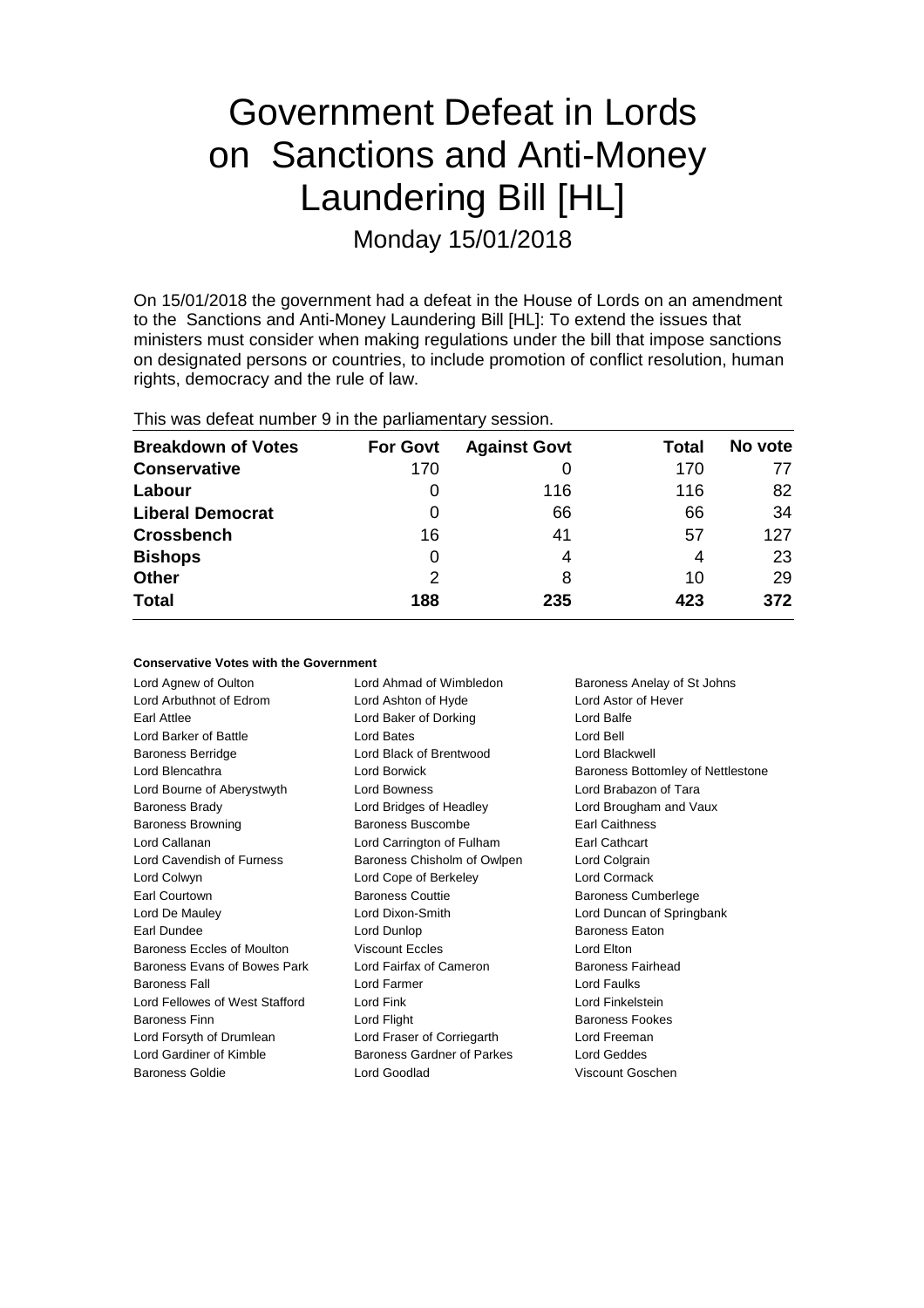# Government Defeat in Lords on Sanctions and Anti-Money Laundering Bill [HL] Monday 15/01/2018

On 15/01/2018 the government had a defeat in the House of Lords on an amendment to the Sanctions and Anti-Money Laundering Bill [HL]: To extend the issues that ministers must consider when making regulations under the bill that impose sanctions on designated persons or countries, to include promotion of conflict resolution, human rights, democracy and the rule of law.

| This was defeat number 9 in the parliamentary session. |  |  |
|--------------------------------------------------------|--|--|
|--------------------------------------------------------|--|--|

| <b>Breakdown of Votes</b> | <b>For Govt</b> | <b>Against Govt</b> | Total | No vote |
|---------------------------|-----------------|---------------------|-------|---------|
| <b>Conservative</b>       | 170             |                     | 170   | 77      |
| Labour                    | 0               | 116                 | 116   | 82      |
| <b>Liberal Democrat</b>   | 0               | 66                  | 66    | 34      |
| <b>Crossbench</b>         | 16              | 41                  | 57    | 127     |
| <b>Bishops</b>            | 0               | 4                   | 4     | 23      |
| Other                     | 2               | 8                   | 10    | 29      |
| <b>Total</b>              | 188             | 235                 | 423   | 372     |

#### **Conservative Votes with the Government**

| Lord Agnew of Oulton           | Lord Ahmad of Wimbledon           | Baroness Anelay of St Johns       |
|--------------------------------|-----------------------------------|-----------------------------------|
| Lord Arbuthnot of Edrom        | Lord Ashton of Hyde               | <b>Lord Astor of Hever</b>        |
| <b>Earl Attlee</b>             | Lord Baker of Dorking             | Lord Balfe                        |
| Lord Barker of Battle          | Lord Bates                        | Lord Bell                         |
| <b>Baroness Berridge</b>       | Lord Black of Brentwood           | Lord Blackwell                    |
| Lord Blencathra                | Lord Borwick                      | Baroness Bottomley of Nettlestone |
| Lord Bourne of Aberystwyth     | <b>Lord Bowness</b>               | Lord Brabazon of Tara             |
| <b>Baroness Brady</b>          | Lord Bridges of Headley           | Lord Brougham and Vaux            |
| <b>Baroness Browning</b>       | <b>Baroness Buscombe</b>          | <b>Earl Caithness</b>             |
| Lord Callanan                  | Lord Carrington of Fulham         | Earl Cathcart                     |
| Lord Cavendish of Furness      | Baroness Chisholm of Owlpen       | Lord Colgrain                     |
| Lord Colwyn                    | Lord Cope of Berkeley             | Lord Cormack                      |
| Earl Courtown                  | <b>Baroness Couttie</b>           | <b>Baroness Cumberlege</b>        |
| Lord De Mauley                 | Lord Dixon-Smith                  | Lord Duncan of Springbank         |
| Earl Dundee                    | Lord Dunlop                       | <b>Baroness Eaton</b>             |
| Baroness Eccles of Moulton     | <b>Viscount Eccles</b>            | Lord Elton                        |
| Baroness Evans of Bowes Park   | Lord Fairfax of Cameron           | Baroness Fairhead                 |
| <b>Baroness Fall</b>           | Lord Farmer                       | Lord Faulks                       |
| Lord Fellowes of West Stafford | Lord Fink                         | Lord Finkelstein                  |
| <b>Baroness Finn</b>           | Lord Flight                       | <b>Baroness Fookes</b>            |
| Lord Forsyth of Drumlean       | Lord Fraser of Corriegarth        | Lord Freeman                      |
| Lord Gardiner of Kimble        | <b>Baroness Gardner of Parkes</b> | Lord Geddes                       |
| <b>Baroness Goldie</b>         | Lord Goodlad                      | Viscount Goschen                  |
|                                |                                   |                                   |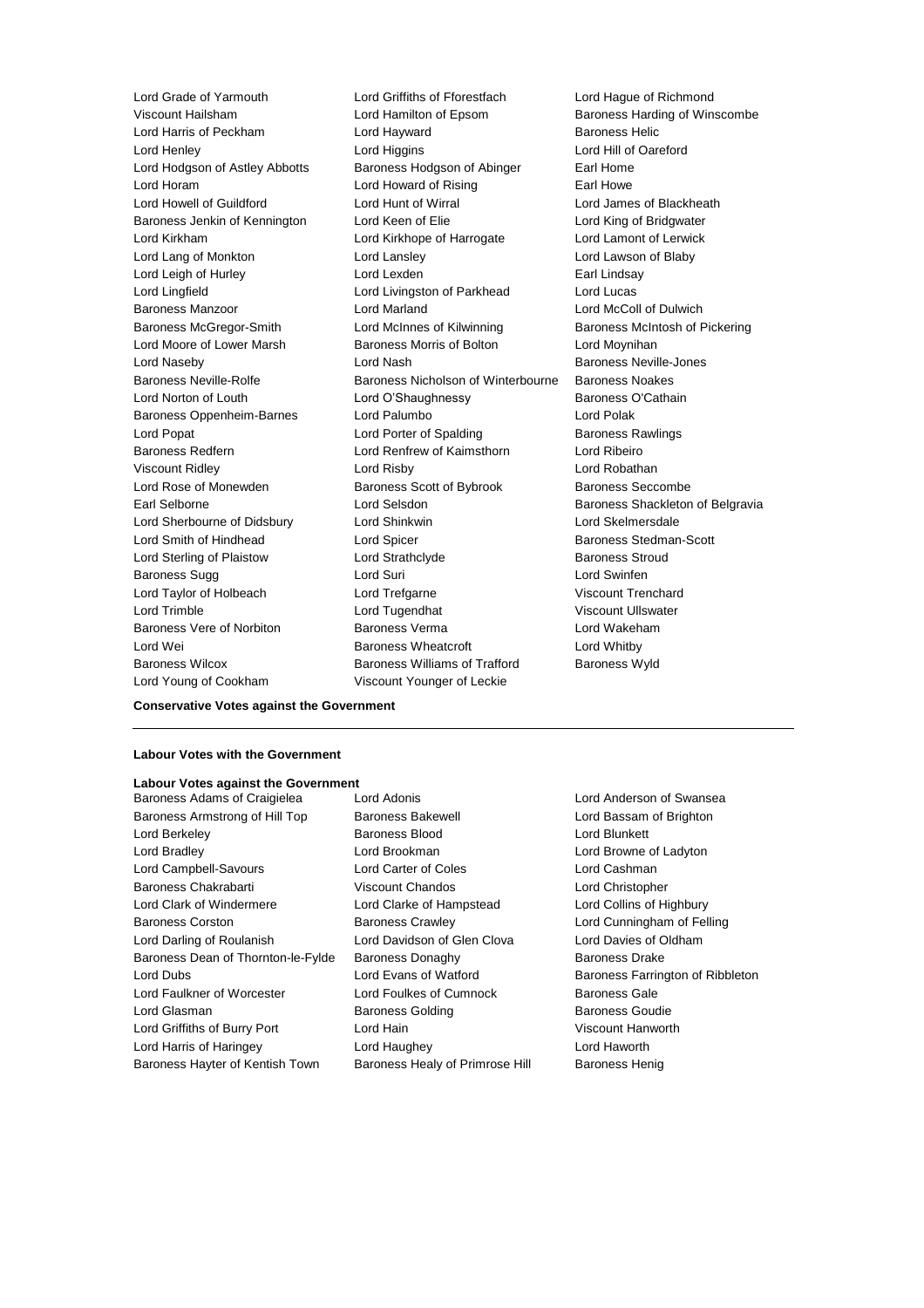Lord Young of Cookham Viscount Younger of Leckie

Lord Grade of Yarmouth Lord Griffiths of Fforestfach Lord Hague of Richmond Viscount Hailsham **Lord Hamilton of Epsom** Baroness Harding of Winscombe Lord Harris of Peckham **Lord Hayward** Baroness Helic Lord Henley **Lord Higgins** Lord Higgins **Lord Hill of Oareford** Lord Hodgson of Astley Abbotts Baroness Hodgson of Abinger Earl Home Lord Horam **Lord Howard of Rising** Earl Howe Lord Howell of Guildford Lord Hunt of Wirral Lord James of Blackheath Baroness Jenkin of Kennington Lord Keen of Elie Lord King of Bridgwater Lord Kirkham Lord Kirkhope of Harrogate Lord Lamont of Lerwick Lord Lang of Monkton Lord Lansley Lord Lawson of Blaby Lord Leigh of Hurley **Lord Lexden** Earl Lindsay Lord Lingfield **Lord Livingston of Parkhead** Lord Lucas Baroness Manzoor Lord Marland Lord McColl of Dulwich Baroness McGregor-Smith Lord McInnes of Kilwinning Baroness McIntosh of Pickering Lord Moore of Lower Marsh Baroness Morris of Bolton Lord Moynihan Lord Naseby Lord Nash Baroness Neville-Jones Baroness Neville-Rolfe Baroness Nicholson of Winterbourne Baroness Noakes Lord Norton of Louth **Lord O'Shaughnessy** Baroness O'Cathain Baroness Oppenheim-Barnes Lord Palumbo **Lord Polak** Lord Popat **Lord Porter of Spalding Corporation** Baroness Rawlings Baroness Redfern Lord Renfrew of Kaimsthorn Lord Ribeiro Viscount Ridley Lord Risby Lord Robathan Lord Rose of Monewden **Baroness Scott of Bybrook** Baroness Seccombe Earl Selborne **Lord Selsdon** Baroness Shackleton of Belgravia Lord Sherbourne of Didsbury Lord Shinkwin Lord Skelmersdale Lord Smith of Hindhead Lord Spicer Baroness Stedman-Scott Lord Sterling of Plaistow **Lord Strathclyde** Baroness Stroud Baroness Sugg **Lord Suri Lord Suri Lord Swinfen** Lord Taylor of Holbeach Lord Trefgarne Viscount Trenchard Lord Trimble Lord Tugendhat Viscount Ullswater Baroness Vere of Norbiton Baroness Verma Lord Wakeham Lord Wei **Baroness Wheatcroft** Lord Whitby Baroness Wilcox **Baroness Williams of Trafford** Baroness Wyld

**Conservative Votes against the Government**

### **Labour Votes with the Government**

### **Labour Votes against the Government**

Baroness Armstrong of Hill Top Baroness Bakewell **Baroness Lord Bassam of Brighton** Lord Berkeley **Baroness Blood** Lord Blunkett Lord Bradley Lord Brookman Lord Browne of Ladyton Lord Campbell-Savours Lord Carter of Coles Lord Cashman Baroness Chakrabarti Viscount Chandos Lord Christopher Lord Clark of Windermere Lord Clarke of Hampstead Lord Collins of Highbury Baroness Corston Baroness Crawley Lord Cunningham of Felling Lord Darling of Roulanish Lord Davidson of Glen Clova Lord Davies of Oldham Baroness Dean of Thornton-le-Fylde Baroness Donaghy Baroness Drake Lord Dubs Lord Evans of Watford Baroness Farrington of Ribbleton Lord Faulkner of Worcester Lord Foulkes of Cumnock Baroness Gale Lord Glasman **Baroness Golding** Baroness Goudie Lord Griffiths of Burry Port Lord Hain Viscount Hanworth Lord Harris of Haringey Lord Haughey Lord Haworth Baroness Hayter of Kentish Town Baroness Healy of Primrose Hill Baroness Henig

Baroness Adams of Craigielea Lord Adonis Lord Anderson of Swansea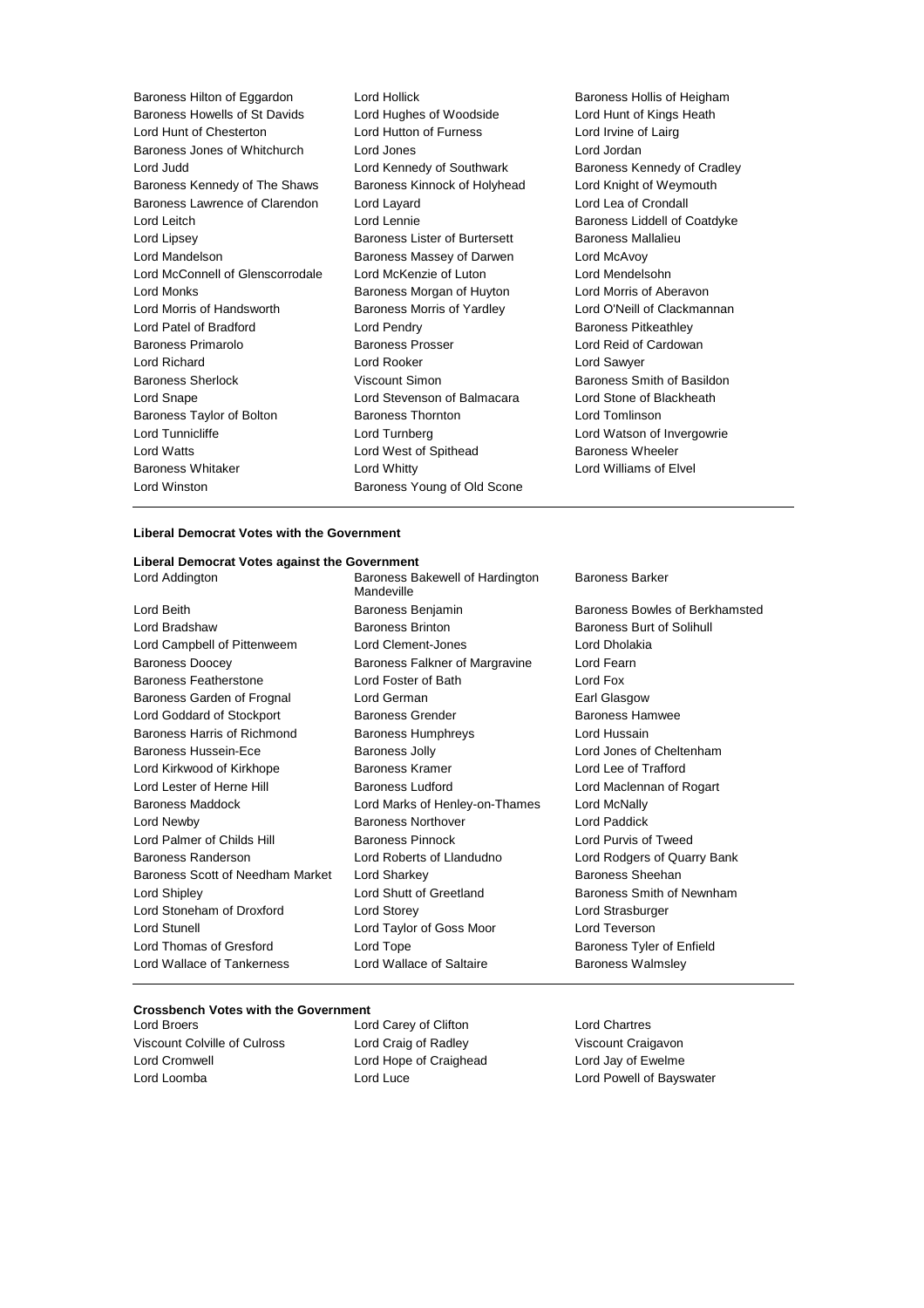Baroness Howells of St Davids Lord Hughes of Woodside Lord Hunt of Kings Heath Lord Hunt of Chesterton Lord Hutton of Furness Lord Irvine of Lairg Baroness Jones of Whitchurch Lord Jones Lord Jordan Lord Judd **Lord Kennedy of Southwark** Baroness Kennedy of Cradley Baroness Kennedy of The Shaws Baroness Kinnock of Holyhead Lord Knight of Weymouth Baroness Lawrence of Clarendon Lord Layard Lord Lea of Crondall Lord Leitch Lord Lennie Baroness Liddell of Coatdyke Lord Lipsey Baroness Lister of Burtersett Baroness Mallalieu Lord Mandelson Baroness Massey of Darwen Lord McAvoy Lord McConnell of Glenscorrodale Lord McKenzie of Luton Lord Mendelsohn Lord Monks **Baroness Morgan of Huyton** Lord Morris of Aberavon Lord Morris of Handsworth Baroness Morris of Yardley Lord O'Neill of Clackmannan Lord Patel of Bradford **Lord Pendry Community** Baroness Pitkeathley Baroness Primarolo **Baroness Prosser Baroness Prosser** Lord Reid of Cardowan Lord Richard Lord Rooker Lord Sawyer Baroness Sherlock Viscount Simon Baroness Smith of Basildon Lord Snape Lord Stevenson of Balmacara Lord Stone of Blackheath Baroness Taylor of Bolton **Baroness Thornton** Baroness Thornton **Lord Tomlinson** Lord Tunnicliffe **Lord Turnberg Lord Lord Watson of Invergowrie** Lord Watts **Lord West of Spithead** Baroness Wheeler Baroness Whitaker **Lord Whitty** Lord Whitty **Lord Williams** of Elvel

Baroness Hilton of Eggardon Lord Hollick Baroness Hollis of Heigham Lord Winston **Baroness Young of Old Scone** 

#### **Liberal Democrat Votes with the Government**

#### **Liberal Democrat Votes against the Government**

Lord Addington **Baroness Bakewell of Hardington** 

Lord Beith Baroness Benjamin Baroness Bowles of Berkhamsted Lord Bradshaw Baroness Brinton Baroness Burt of Solihull Lord Campbell of Pittenweem Lord Clement-Jones Lord Dholakia Baroness Doocey Baroness Falkner of Margravine Lord Fearn Baroness Featherstone Lord Foster of Bath Lord Fox Baroness Garden of Frognal Lord German **Earl Glasgow** Earl Glasgow Lord Goddard of Stockport Baroness Grender Baroness Hamwee Baroness Harris of Richmond Baroness Humphreys Lord Hussain Baroness Hussein-Ece Baroness Jolly Lord Jones of Cheltenham Lord Kirkwood of Kirkhope Baroness Kramer Lord Lee of Trafford Lord Lester of Herne Hill Baroness Ludford Lord Maclennan of Rogart Baroness Maddock Lord Marks of Henley-on-Thames Lord McNally Lord Newby Baroness Northover Lord Paddick Lord Palmer of Childs Hill Baroness Pinnock Lord Purvis of Tweed Baroness Randerson Lord Roberts of Llandudno Lord Rodgers of Quarry Bank Baroness Scott of Needham Market Lord Sharkey **Baroness Sheehan** Baroness Sheehan Lord Shipley **Lord Shutt of Greetland** Baroness Smith of Newnham Lord Stoneham of Droxford Lord Storey Lord Strasburger Lord Stunell Lord Taylor of Goss Moor Lord Teverson Lord Thomas of Gresford Lord Tope **Baroness Tyler of Enfield** Lord Wallace of Tankerness **Lord Wallace of Saltaire** Baroness Walmsley

Mandeville

#### Baroness Barker

#### **Crossbench Votes with the Government**

Viscount Colville of Culross Lord Craig of Radley Viscount Craigavon Lord Cromwell Lord Hope of Craighead Lord Jay of Ewelme Lord Loomba **Lord Luce** Lord Luce **Lord Powell of Bayswater** 

Lord Broers Lord Carey of Clifton Lord Chartres